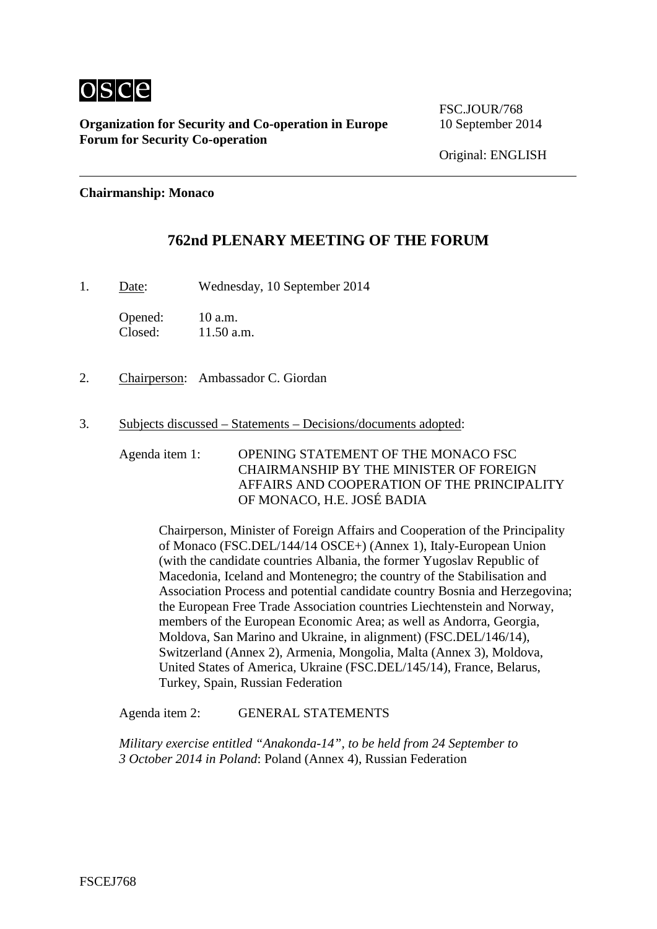

**Organization for Security and Co-operation in Europe** 10 September 2014 **Forum for Security Co-operation**

FSC.JOUR/768

Original: ENGLISH

#### **Chairmanship: Monaco**

### **762nd PLENARY MEETING OF THE FORUM**

1. Date: Wednesday, 10 September 2014

Opened: 10 a.m.<br>Closed: 11.50 a.  $11.50$  a.m.

- 2. Chairperson: Ambassador C. Giordan
- 3. Subjects discussed Statements Decisions/documents adopted:

Agenda item 1: OPENING STATEMENT OF THE MONACO FSC CHAIRMANSHIP BY THE MINISTER OF FOREIGN AFFAIRS AND COOPERATION OF THE PRINCIPALITY OF MONACO, H.E. JOSÉ BADIA

Chairperson, Minister of Foreign Affairs and Cooperation of the Principality of Monaco (FSC.DEL/144/14 OSCE+) (Annex 1), Italy-European Union (with the candidate countries Albania, the former Yugoslav Republic of Macedonia, Iceland and Montenegro; the country of the Stabilisation and Association Process and potential candidate country Bosnia and Herzegovina; the European Free Trade Association countries Liechtenstein and Norway, members of the European Economic Area; as well as Andorra, Georgia, Moldova, San Marino and Ukraine, in alignment) (FSC.DEL/146/14), Switzerland (Annex 2), Armenia, Mongolia, Malta (Annex 3), Moldova, United States of America, Ukraine (FSC.DEL/145/14), France, Belarus, Turkey, Spain, Russian Federation

Agenda item 2: GENERAL STATEMENTS

*Military exercise entitled "Anakonda-14", to be held from 24 September to 3 October 2014 in Poland*: Poland (Annex 4), Russian Federation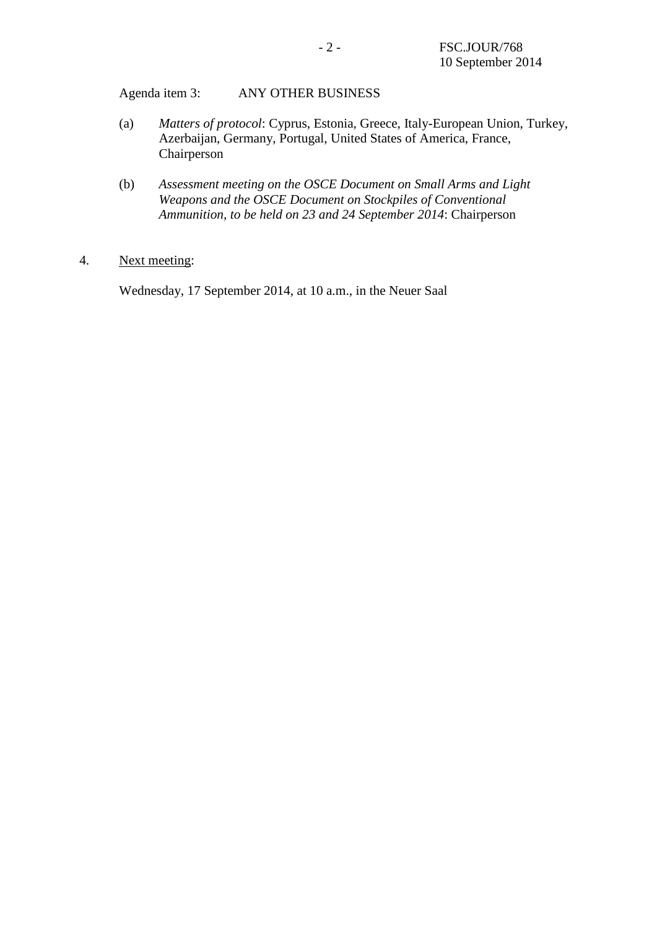Agenda item 3: ANY OTHER BUSINESS

- (a) *Matters of protocol*: Cyprus, Estonia, Greece, Italy-European Union, Turkey, Azerbaijan, Germany, Portugal, United States of America, France, Chairperson
- (b) *Assessment meeting on the OSCE Document on Small Arms and Light Weapons and the OSCE Document on Stockpiles of Conventional Ammunition, to be held on 23 and 24 September 2014*: Chairperson

#### 4. Next meeting:

Wednesday, 17 September 2014, at 10 a.m., in the Neuer Saal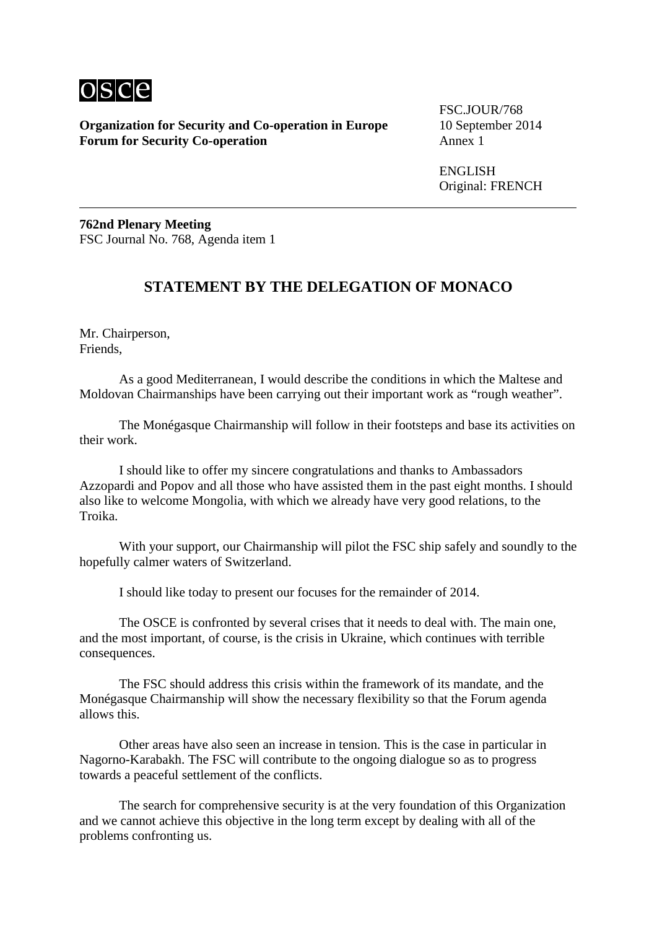

**Organization for Security and Co-operation in Europe** 10 September 2014 **Forum for Security Co-operation** 

FSC.JOUR/768

ENGLISH Original: FRENCH

**762nd Plenary Meeting** FSC Journal No. 768, Agenda item 1

# **STATEMENT BY THE DELEGATION OF MONACO**

Mr. Chairperson, Friends,

As a good Mediterranean, I would describe the conditions in which the Maltese and Moldovan Chairmanships have been carrying out their important work as "rough weather".

The Monégasque Chairmanship will follow in their footsteps and base its activities on their work.

I should like to offer my sincere congratulations and thanks to Ambassadors Azzopardi and Popov and all those who have assisted them in the past eight months. I should also like to welcome Mongolia, with which we already have very good relations, to the Troika.

With your support, our Chairmanship will pilot the FSC ship safely and soundly to the hopefully calmer waters of Switzerland.

I should like today to present our focuses for the remainder of 2014.

The OSCE is confronted by several crises that it needs to deal with. The main one, and the most important, of course, is the crisis in Ukraine, which continues with terrible consequences.

The FSC should address this crisis within the framework of its mandate, and the Monégasque Chairmanship will show the necessary flexibility so that the Forum agenda allows this.

Other areas have also seen an increase in tension. This is the case in particular in Nagorno-Karabakh. The FSC will contribute to the ongoing dialogue so as to progress towards a peaceful settlement of the conflicts.

The search for comprehensive security is at the very foundation of this Organization and we cannot achieve this objective in the long term except by dealing with all of the problems confronting us.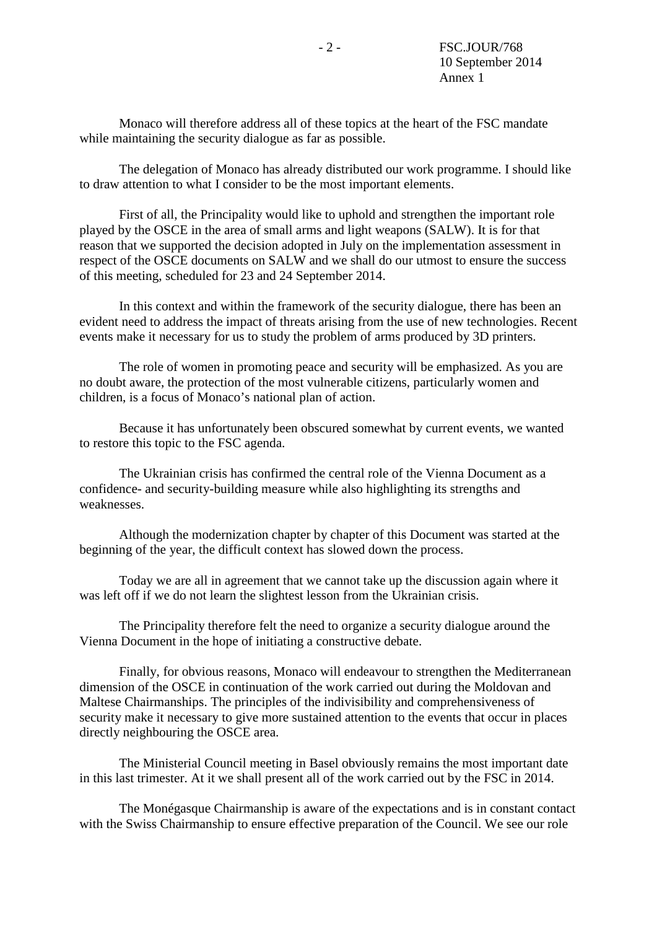Monaco will therefore address all of these topics at the heart of the FSC mandate while maintaining the security dialogue as far as possible.

The delegation of Monaco has already distributed our work programme. I should like to draw attention to what I consider to be the most important elements.

First of all, the Principality would like to uphold and strengthen the important role played by the OSCE in the area of small arms and light weapons (SALW). It is for that reason that we supported the decision adopted in July on the implementation assessment in respect of the OSCE documents on SALW and we shall do our utmost to ensure the success of this meeting, scheduled for 23 and 24 September 2014.

In this context and within the framework of the security dialogue, there has been an evident need to address the impact of threats arising from the use of new technologies. Recent events make it necessary for us to study the problem of arms produced by 3D printers.

The role of women in promoting peace and security will be emphasized. As you are no doubt aware, the protection of the most vulnerable citizens, particularly women and children, is a focus of Monaco's national plan of action.

Because it has unfortunately been obscured somewhat by current events, we wanted to restore this topic to the FSC agenda.

The Ukrainian crisis has confirmed the central role of the Vienna Document as a confidence- and security-building measure while also highlighting its strengths and weaknesses.

Although the modernization chapter by chapter of this Document was started at the beginning of the year, the difficult context has slowed down the process.

Today we are all in agreement that we cannot take up the discussion again where it was left off if we do not learn the slightest lesson from the Ukrainian crisis.

The Principality therefore felt the need to organize a security dialogue around the Vienna Document in the hope of initiating a constructive debate.

Finally, for obvious reasons, Monaco will endeavour to strengthen the Mediterranean dimension of the OSCE in continuation of the work carried out during the Moldovan and Maltese Chairmanships. The principles of the indivisibility and comprehensiveness of security make it necessary to give more sustained attention to the events that occur in places directly neighbouring the OSCE area.

The Ministerial Council meeting in Basel obviously remains the most important date in this last trimester. At it we shall present all of the work carried out by the FSC in 2014.

The Monégasque Chairmanship is aware of the expectations and is in constant contact with the Swiss Chairmanship to ensure effective preparation of the Council. We see our role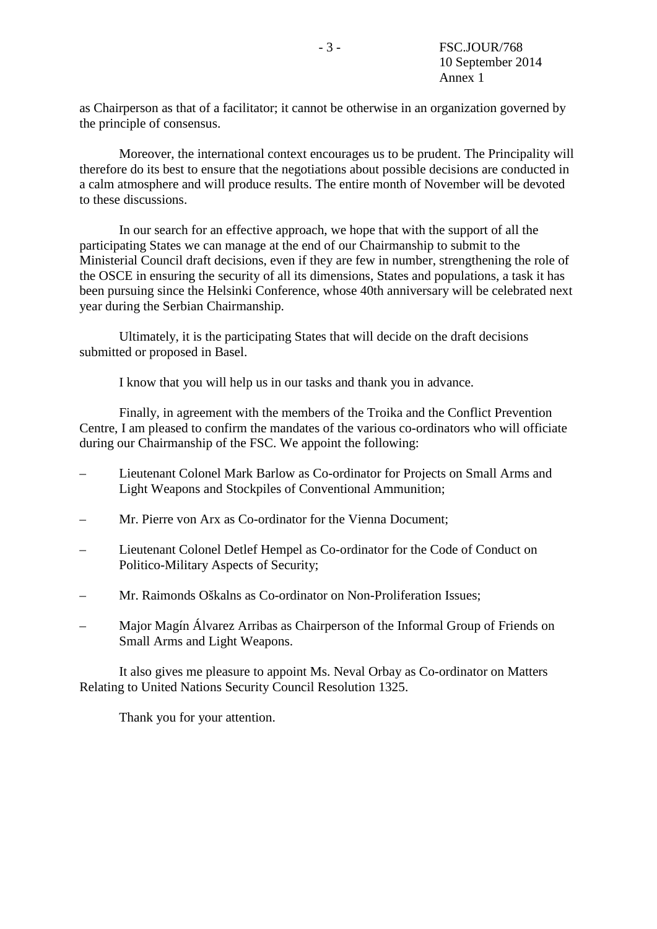as Chairperson as that of a facilitator; it cannot be otherwise in an organization governed by the principle of consensus.

Moreover, the international context encourages us to be prudent. The Principality will therefore do its best to ensure that the negotiations about possible decisions are conducted in a calm atmosphere and will produce results. The entire month of November will be devoted to these discussions.

In our search for an effective approach, we hope that with the support of all the participating States we can manage at the end of our Chairmanship to submit to the Ministerial Council draft decisions, even if they are few in number, strengthening the role of the OSCE in ensuring the security of all its dimensions, States and populations, a task it has been pursuing since the Helsinki Conference, whose 40th anniversary will be celebrated next year during the Serbian Chairmanship.

Ultimately, it is the participating States that will decide on the draft decisions submitted or proposed in Basel.

I know that you will help us in our tasks and thank you in advance.

Finally, in agreement with the members of the Troika and the Conflict Prevention Centre, I am pleased to confirm the mandates of the various co-ordinators who will officiate during our Chairmanship of the FSC. We appoint the following:

- Lieutenant Colonel Mark Barlow as Co-ordinator for Projects on Small Arms and Light Weapons and Stockpiles of Conventional Ammunition;
- Mr. Pierre von Arx as Co-ordinator for the Vienna Document;
- Lieutenant Colonel Detlef Hempel as Co-ordinator for the Code of Conduct on Politico-Military Aspects of Security;
- Mr. Raimonds Oškalns as Co-ordinator on Non-Proliferation Issues;
- Major Magín Álvarez Arribas as Chairperson of the Informal Group of Friends on Small Arms and Light Weapons.

It also gives me pleasure to appoint Ms. Neval Orbay as Co-ordinator on Matters Relating to United Nations Security Council Resolution 1325.

Thank you for your attention.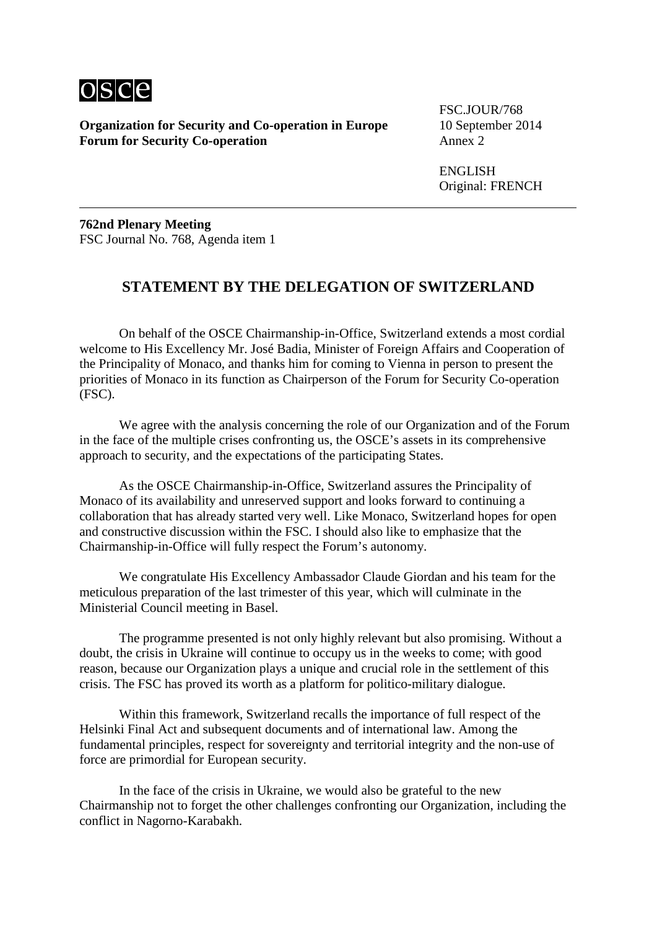

**Organization for Security and Co-operation in Europe** 10 September 2014 **Forum for Security Co-operation** Annex 2

FSC.JOUR/768

ENGLISH Original: FRENCH

**762nd Plenary Meeting** FSC Journal No. 768, Agenda item 1

### **STATEMENT BY THE DELEGATION OF SWITZERLAND**

On behalf of the OSCE Chairmanship-in-Office, Switzerland extends a most cordial welcome to His Excellency Mr. José Badia, Minister of Foreign Affairs and Cooperation of the Principality of Monaco, and thanks him for coming to Vienna in person to present the priorities of Monaco in its function as Chairperson of the Forum for Security Co-operation (FSC).

We agree with the analysis concerning the role of our Organization and of the Forum in the face of the multiple crises confronting us, the OSCE's assets in its comprehensive approach to security, and the expectations of the participating States.

As the OSCE Chairmanship-in-Office, Switzerland assures the Principality of Monaco of its availability and unreserved support and looks forward to continuing a collaboration that has already started very well. Like Monaco, Switzerland hopes for open and constructive discussion within the FSC. I should also like to emphasize that the Chairmanship-in-Office will fully respect the Forum's autonomy.

We congratulate His Excellency Ambassador Claude Giordan and his team for the meticulous preparation of the last trimester of this year, which will culminate in the Ministerial Council meeting in Basel.

The programme presented is not only highly relevant but also promising. Without a doubt, the crisis in Ukraine will continue to occupy us in the weeks to come; with good reason, because our Organization plays a unique and crucial role in the settlement of this crisis. The FSC has proved its worth as a platform for politico-military dialogue.

Within this framework, Switzerland recalls the importance of full respect of the Helsinki Final Act and subsequent documents and of international law. Among the fundamental principles, respect for sovereignty and territorial integrity and the non-use of force are primordial for European security.

In the face of the crisis in Ukraine, we would also be grateful to the new Chairmanship not to forget the other challenges confronting our Organization, including the conflict in Nagorno-Karabakh.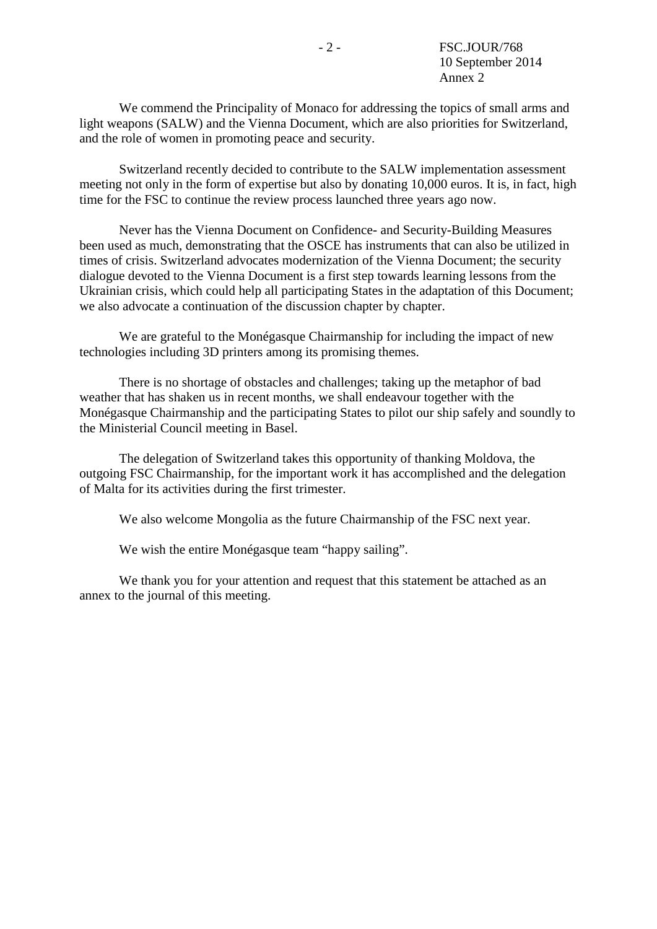We commend the Principality of Monaco for addressing the topics of small arms and light weapons (SALW) and the Vienna Document, which are also priorities for Switzerland, and the role of women in promoting peace and security.

Switzerland recently decided to contribute to the SALW implementation assessment meeting not only in the form of expertise but also by donating 10,000 euros. It is, in fact, high time for the FSC to continue the review process launched three years ago now.

Never has the Vienna Document on Confidence- and Security-Building Measures been used as much, demonstrating that the OSCE has instruments that can also be utilized in times of crisis. Switzerland advocates modernization of the Vienna Document; the security dialogue devoted to the Vienna Document is a first step towards learning lessons from the Ukrainian crisis, which could help all participating States in the adaptation of this Document; we also advocate a continuation of the discussion chapter by chapter.

We are grateful to the Monégasque Chairmanship for including the impact of new technologies including 3D printers among its promising themes.

There is no shortage of obstacles and challenges; taking up the metaphor of bad weather that has shaken us in recent months, we shall endeavour together with the Monégasque Chairmanship and the participating States to pilot our ship safely and soundly to the Ministerial Council meeting in Basel.

The delegation of Switzerland takes this opportunity of thanking Moldova, the outgoing FSC Chairmanship, for the important work it has accomplished and the delegation of Malta for its activities during the first trimester.

We also welcome Mongolia as the future Chairmanship of the FSC next year.

We wish the entire Monégasque team "happy sailing".

We thank you for your attention and request that this statement be attached as an annex to the journal of this meeting.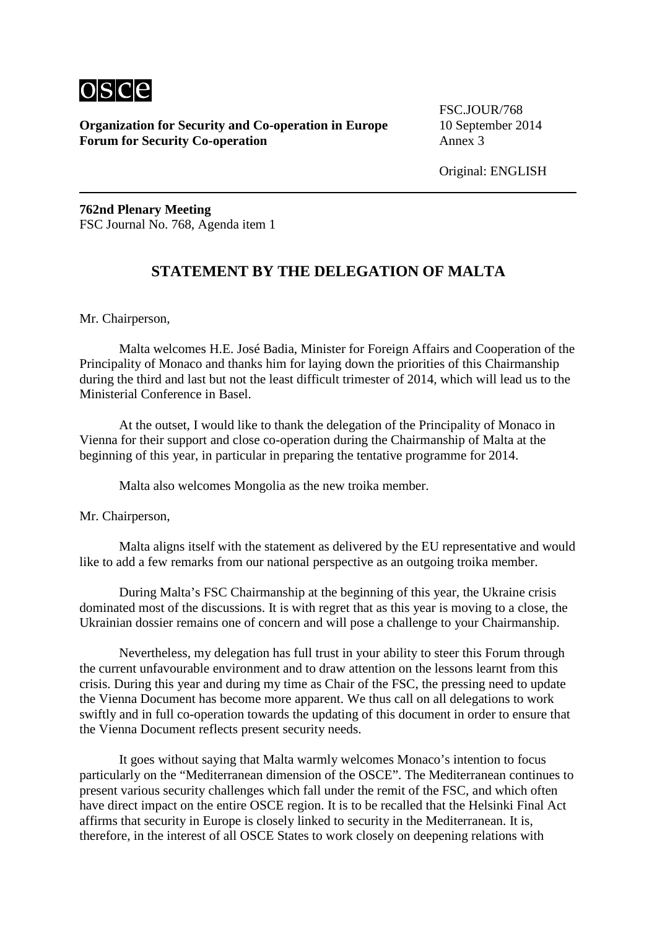

**Organization for Security and Co-operation in Europe** 10 September 2014 **Forum for Security Co-operation** Annex 3

FSC.JOUR/768

Original: ENGLISH

**762nd Plenary Meeting** FSC Journal No. 768, Agenda item 1

# **STATEMENT BY THE DELEGATION OF MALTA**

Mr. Chairperson,

Malta welcomes H.E. José Badia, Minister for Foreign Affairs and Cooperation of the Principality of Monaco and thanks him for laying down the priorities of this Chairmanship during the third and last but not the least difficult trimester of 2014, which will lead us to the Ministerial Conference in Basel.

At the outset, I would like to thank the delegation of the Principality of Monaco in Vienna for their support and close co-operation during the Chairmanship of Malta at the beginning of this year, in particular in preparing the tentative programme for 2014.

Malta also welcomes Mongolia as the new troika member.

Mr. Chairperson,

Malta aligns itself with the statement as delivered by the EU representative and would like to add a few remarks from our national perspective as an outgoing troika member.

During Malta's FSC Chairmanship at the beginning of this year, the Ukraine crisis dominated most of the discussions. It is with regret that as this year is moving to a close, the Ukrainian dossier remains one of concern and will pose a challenge to your Chairmanship.

Nevertheless, my delegation has full trust in your ability to steer this Forum through the current unfavourable environment and to draw attention on the lessons learnt from this crisis. During this year and during my time as Chair of the FSC, the pressing need to update the Vienna Document has become more apparent. We thus call on all delegations to work swiftly and in full co-operation towards the updating of this document in order to ensure that the Vienna Document reflects present security needs.

It goes without saying that Malta warmly welcomes Monaco's intention to focus particularly on the "Mediterranean dimension of the OSCE". The Mediterranean continues to present various security challenges which fall under the remit of the FSC, and which often have direct impact on the entire OSCE region. It is to be recalled that the Helsinki Final Act affirms that security in Europe is closely linked to security in the Mediterranean. It is, therefore, in the interest of all OSCE States to work closely on deepening relations with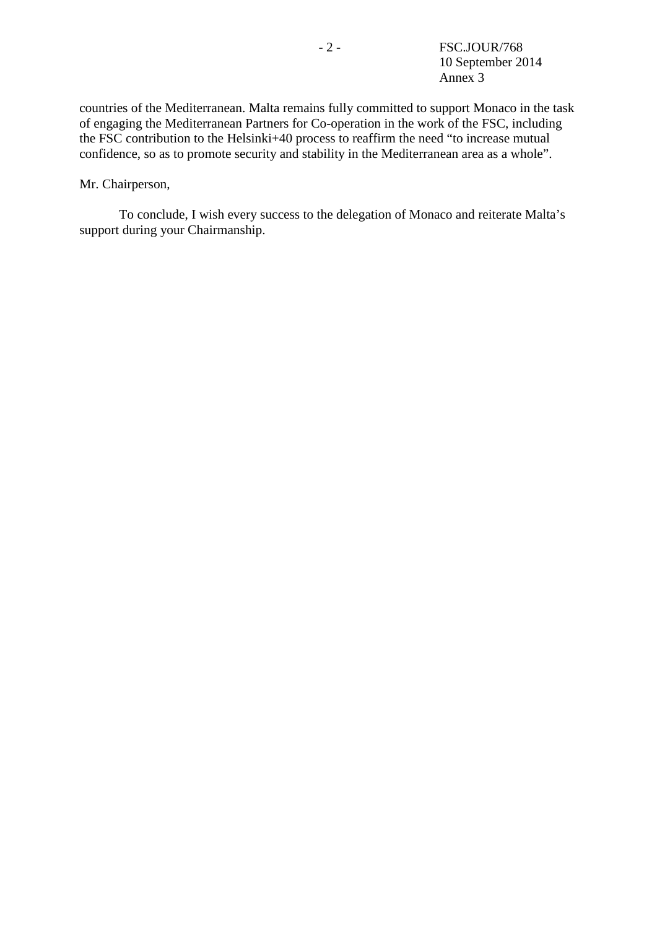countries of the Mediterranean. Malta remains fully committed to support Monaco in the task of engaging the Mediterranean Partners for Co-operation in the work of the FSC, including the FSC contribution to the Helsinki+40 process to reaffirm the need "to increase mutual confidence, so as to promote security and stability in the Mediterranean area as a whole".

Mr. Chairperson,

To conclude, I wish every success to the delegation of Monaco and reiterate Malta's support during your Chairmanship.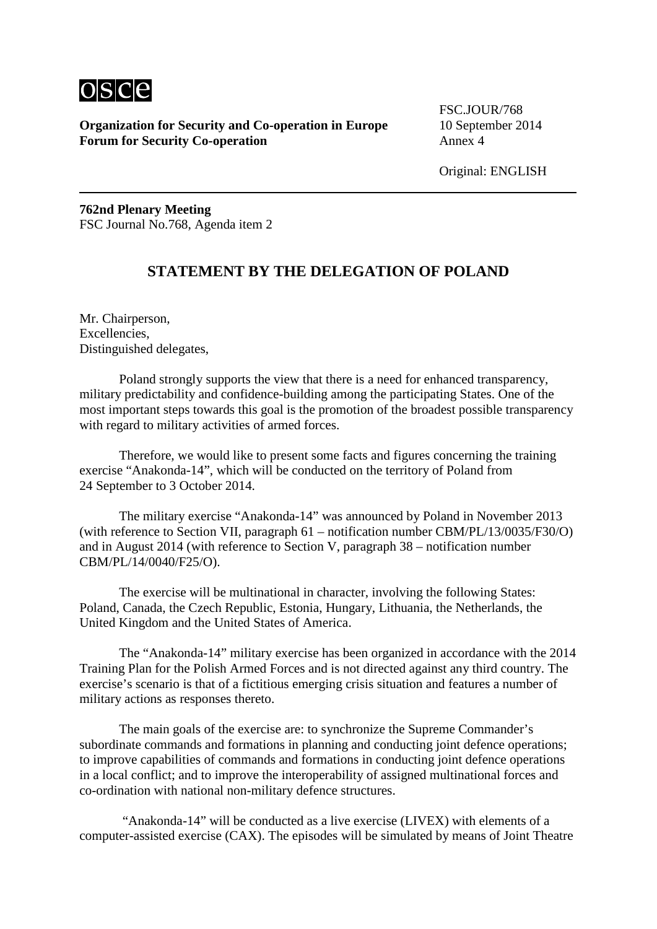

**Organization for Security and Co-operation in Europe** 10 September 2014 **Forum for Security Co-operation** Annex 4

FSC.JOUR/768

Original: ENGLISH

**762nd Plenary Meeting** FSC Journal No.768, Agenda item 2

# **STATEMENT BY THE DELEGATION OF POLAND**

Mr. Chairperson, Excellencies, Distinguished delegates,

Poland strongly supports the view that there is a need for enhanced transparency, military predictability and confidence-building among the participating States. One of the most important steps towards this goal is the promotion of the broadest possible transparency with regard to military activities of armed forces.

Therefore, we would like to present some facts and figures concerning the training exercise "Anakonda-14", which will be conducted on the territory of Poland from 24 September to 3 October 2014.

The military exercise "Anakonda-14" was announced by Poland in November 2013 (with reference to Section VII, paragraph 61 – notification number CBM/PL/13/0035/F30/O) and in August 2014 (with reference to Section V, paragraph 38 – notification number CBM/PL/14/0040/F25/O).

The exercise will be multinational in character, involving the following States: Poland, Canada, the Czech Republic, Estonia, Hungary, Lithuania, the Netherlands, the United Kingdom and the United States of America.

The "Anakonda-14" military exercise has been organized in accordance with the 2014 Training Plan for the Polish Armed Forces and is not directed against any third country. The exercise's scenario is that of a fictitious emerging crisis situation and features a number of military actions as responses thereto.

The main goals of the exercise are: to synchronize the Supreme Commander's subordinate commands and formations in planning and conducting joint defence operations; to improve capabilities of commands and formations in conducting joint defence operations in a local conflict; and to improve the interoperability of assigned multinational forces and co-ordination with national non-military defence structures.

"Anakonda-14" will be conducted as a live exercise (LIVEX) with elements of a computer-assisted exercise (CAX). The episodes will be simulated by means of Joint Theatre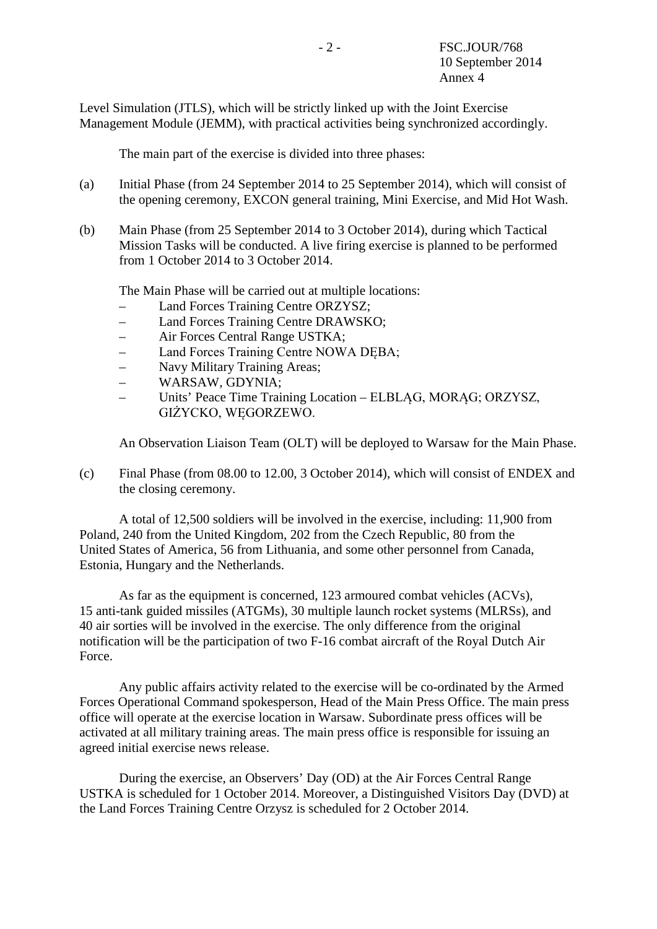Level Simulation (JTLS), which will be strictly linked up with the Joint Exercise Management Module (JEMM), with practical activities being synchronized accordingly.

The main part of the exercise is divided into three phases:

- (a) Initial Phase (from 24 September 2014 to 25 September 2014), which will consist of the opening ceremony, EXCON general training, Mini Exercise, and Mid Hot Wash.
- (b) Main Phase (from 25 September 2014 to 3 October 2014), during which Tactical Mission Tasks will be conducted. A live firing exercise is planned to be performed from 1 October 2014 to 3 October 2014.

The Main Phase will be carried out at multiple locations:

- Land Forces Training Centre ORZYSZ;
- Land Forces Training Centre DRAWSKO;
- Air Forces Central Range USTKA;
- Land Forces Training Centre NOWA DĘBA;
- Navy Military Training Areas;
- WARSAW, GDYNIA;
- Units' Peace Time Training Location ELBLĄG, MORĄG; ORZYSZ, GIŻYCKO, WĘGORZEWO.

An Observation Liaison Team (OLT) will be deployed to Warsaw for the Main Phase.

(c) Final Phase (from 08.00 to 12.00, 3 October 2014), which will consist of ENDEX and the closing ceremony.

A total of 12,500 soldiers will be involved in the exercise, including: 11,900 from Poland, 240 from the United Kingdom, 202 from the Czech Republic, 80 from the United States of America, 56 from Lithuania, and some other personnel from Canada, Estonia, Hungary and the Netherlands.

As far as the equipment is concerned, 123 armoured combat vehicles (ACVs), 15 anti-tank guided missiles (ATGMs), 30 multiple launch rocket systems (MLRSs), and 40 air sorties will be involved in the exercise. The only difference from the original notification will be the participation of two F-16 combat aircraft of the Royal Dutch Air Force.

Any public affairs activity related to the exercise will be co-ordinated by the Armed Forces Operational Command spokesperson, Head of the Main Press Office. The main press office will operate at the exercise location in Warsaw. Subordinate press offices will be activated at all military training areas. The main press office is responsible for issuing an agreed initial exercise news release.

During the exercise, an Observers' Day (OD) at the Air Forces Central Range USTKA is scheduled for 1 October 2014. Moreover, a Distinguished Visitors Day (DVD) at the Land Forces Training Centre Orzysz is scheduled for 2 October 2014.